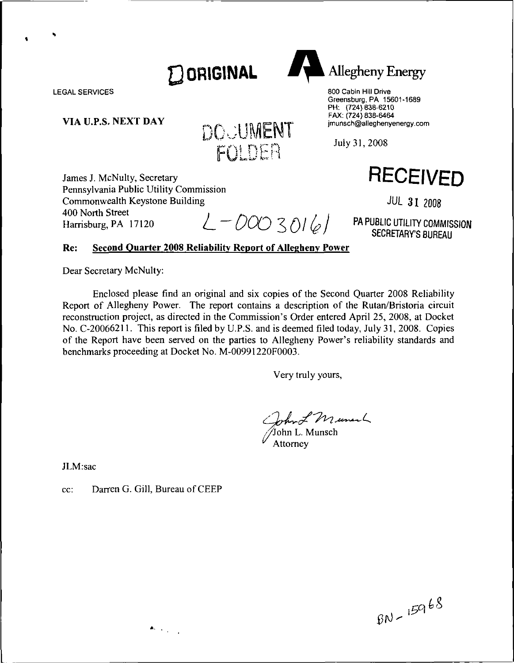

LEGAL SERVICES

**VIA U.P.S, NEXT DAY**



James J. McNulty, Secretary Pennsylvania Public Utility Commission Commonwealth Keystone Building 400 North Street

Harrisburg, PA 17120  $L - D O O O 3016$ 

### **Re: Second Quarter 2008 Reliability Report of Allegheny Power**

Dear Secretary McNulty:

Enclosed please find an original and six copies of the Second Quarter 2008 Reliability Report of Allegheny Power. The report contains <sup>a</sup> description of the Rutan/Bristoria circuit reconstruction project, as directed in the Commission's Order entered April 25, 2008, at Docket No. C-20066211. This report is filed by U.P.S. and is deemed filed today, July 31, 2008. Copies of the Report have been served on the parties to Allegheny Power's reliability standards and benchmarks proceeding at Docket No. M-00991220F0003.

Very truly yours,

John L Manuel

JLM:sac

cc: Darren G. Gill, Bureau of CEEP

 $\bullet$  .  $\bullet$  .  $\bullet$  .



 $BD - 15968$ 

**Allegheny Energy** 

800 Cabin Hill Drive Greensburg, PA 15601-1689 PH: (724) 838-6210 FAX: (724) 838-6464 jmunsch@alleghenyenergy.com

**RECEIVED**

**JUL 31 2008**

**PA PUBLIC UTILITY COMMISSION SECRETARY'S BUREAU**

July 31,2008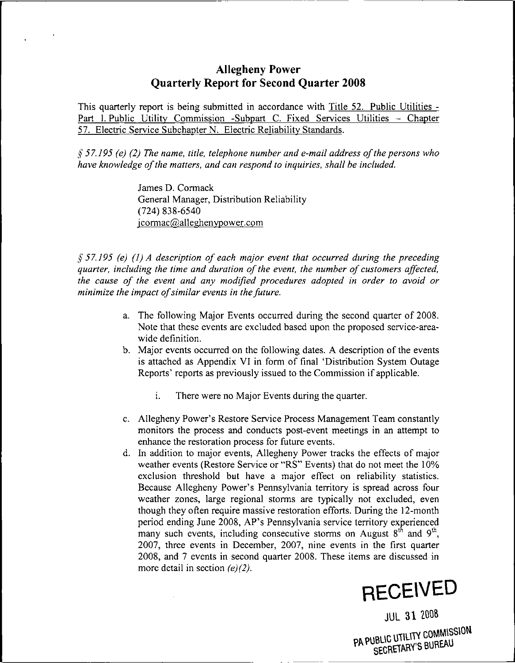# **Allegheny Power Quarterly Report for Second Quarter 2008**

This quarterly report is being submitted in accordance with Title 52. Public Utilities - Part I. Public Utility Commission -Subpart C. Fixed Services Utilities - Chapter 57, Electric Service Subchapter N. Electric Reliability Standards.

*§ 57.195 (e) (2) The name, title, telephone number and e-mail address ofthe persons who have knowledge ofthe matters, and can respond to inquiries, shall be included.*

> James D. Cormack General Manager, Distribution Reliability (724) 838-6540 icormac@alleghenvpower.com

*§57.195 (e) (1) A description of each major event that occurred during the preceding guarter, including the time and duration of the event, the number of customers affected, the cause of the event and any modified procedures adopted in order to avoid or minimize the impact ofsimilar events in thefuture.*

- a. The following Major Events occurred during the second quarter of 2008. Note that these events are excluded based upon the proposed service-areawide definition.
- b. Major events occurred on the following dates. A description of the events is attached as Appendix VI in form of final 'Distribution System Outage Reports' reports as previously issued to the Commission if applicable.
	- i. There were no Major Events during the quarter.
- c. Allegheny Power's Restore Service Process Management Team constantly monitors the process and conducts post-event meetings in an attempt to enhance the restoration process for future events.
- d. In addition to major events, Allegheny Power tracks the effects of major weather events (Restore Service or "RS" Events) that do not meet the 10% exclusion threshold but have a major effect on reliability statistics. Because Allegheny Power's Pennsylvania territory is spread across four weather zones, large regional storms are typically not excluded, even though they often require massive restoration efforts. During the 12-month period ending June 2008, AP's Pennsylvania service territory experienced many such events, including consecutive storms on August  $8<sup>th</sup>$  and  $9<sup>th</sup>$ , 2007, three events in December, 2007, nine events in the first quarter 2008, and 7 events in second quarter 2008. These items are discussed in more detail in section *(e)(2).*



JUL 31 2008

**PA PUBLIC UTILITY COMMISSION**<br>SECRETARY'S BUREAU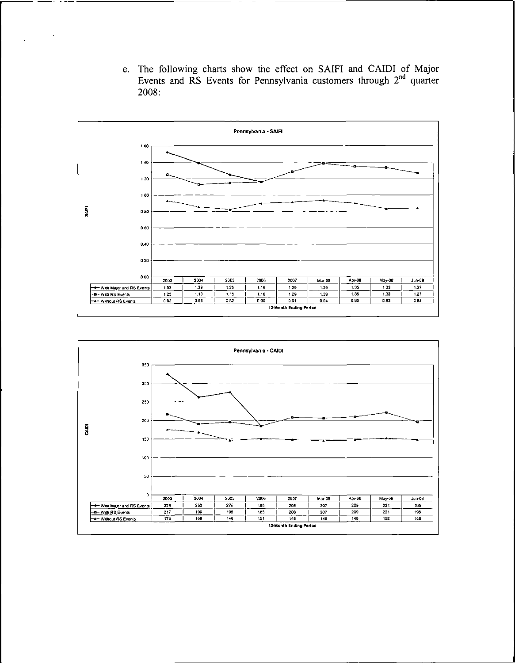e. The following charts show the effect on SAIFI and CAIDI of Major Events and  $\overline{RS}$  Events for Pennsylvania customers through  $2^{nd}$  quarter 2008:



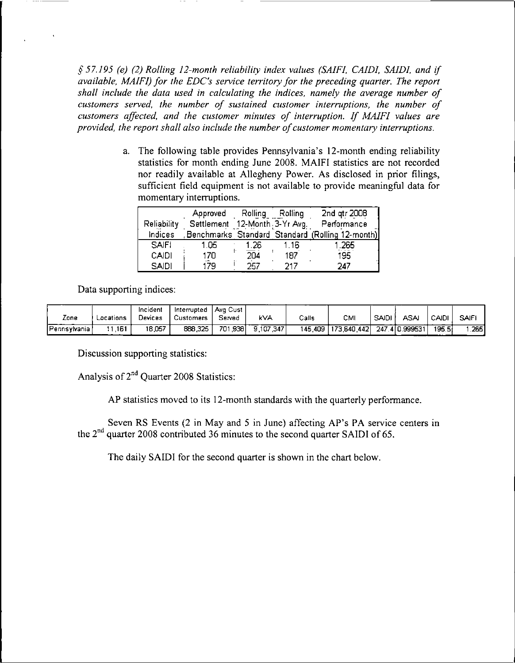*§57.195 (e) (2) Rolling 12-month reliability index values (SAIF1, CAIDI, SAID1, and if available, MA1F1) for the EDC's service territory for the preceding quarter. The report shall include the data used in calculating the indices, namely the average number of customers served, the number of sustained customer interruptions, the number of customers affected, and the customer minutes of interruption. If MAIFI values are provided, the report shall also include the number ofcustomer momentary interruptions.*

> a. The following table provides Pennsylvania's 12-month ending reliability statistics for month ending June 2008. MAIFI statistics are not recorded nor readily available at Allegheny Power. As disclosed in prior filings, sufficient field equipment is not available to provide meaningful data for momentary interruptions.

|              | Approved                      | Rolling | Rolling | 2nd gtr 2008                                    |
|--------------|-------------------------------|---------|---------|-------------------------------------------------|
| Reliability  | Settlement 12-Month 3-Yr Avg. |         |         | Performance                                     |
| Indices      |                               |         |         | Benchmarks Standard Standard (Rolling 12-month) |
| <b>SAIFI</b> | 1.05                          | 1.26    | 1.16    | . 265                                           |
| CAIDI        | 170                           | 204     | 187     | 195                                             |
| <b>SAIDI</b> | 179                           | 257.    | 217     | 247                                             |

Data supporting indices:

|                  |           | Incident | Interrupted | l Ava Cust   |           |       |                       |              |                |                    |             |
|------------------|-----------|----------|-------------|--------------|-----------|-------|-----------------------|--------------|----------------|--------------------|-------------|
| Zone             | Locations | Devices  | Customers   | Served       | kVA       | Calls | СМІ                   | <b>SAIDI</b> | <b>ASA</b>     | CAIDI.             | <b>SAIF</b> |
| l Pennsylvania i | .161      | 18,057   | 888,325     | .9381<br>701 | 9.107.347 |       | 145,409   173,640,442 |              | 247.4 0.999531 | 195.5 <sub>1</sub> | .2651       |

Discussion supporting statistics:

Analysis of 2<sup>nd</sup> Quarter 2008 Statistics:

AP statistics moved to its 12-month standards with the quarterly performance.

Seven RS Events (2 in May and <sup>5</sup> in June) affecting AP's PA service centers in the 2nd quarter 2008 contributed 36 minutes to the second quarter SAIDI of 65.

The daily SAIDI for the second quarter is shown in the chart below.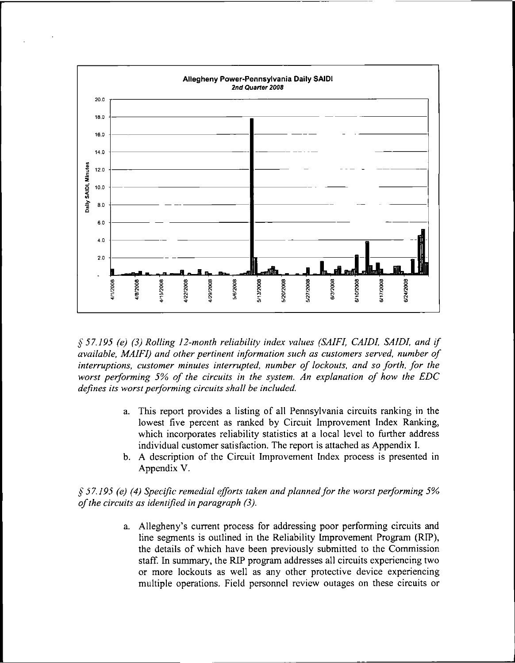

*§ 57.195 (e) (3) Rolling 12-month reliability index values (SAIFI, CAIDI, SAJDI, and if available, MAIFI) and other pertinent information such as customers served, number of interruptions, customer minutes interrupted, number of lockouts, and so forth, for the worst performing 5% of the circuits in the system. An explanation of how the EDC defines its worstperforming circuits shall be included.*

- a. This report provides a listing of all Pennsylvania circuits ranking in the lowest five percent as ranked by Circuit Improvement Index Ranking, which incorporates reliability statistics at a local level to further address individual customer satisfaction. The report is attached as Appendix I.
- b. A description of the Circuit Improvement Index process is presented in Appendix V.

*§ 57.195 (e) (4) Specific remedial efforts taken and plannedfor the worst performing 5% ofthe circuits as identified in paragraph (3).*

> a. Allegheny's current process for addressing poor performing circuits and line segments is outlined in the Reliability Improvement Program (RIP), the details of which have been previously submitted to the Commission staff. In summary, the RIP program addresses all circuits experiencing two or more lockouts as well as any other protective device experiencing multiple operations. Field personnel review outages on these circuits or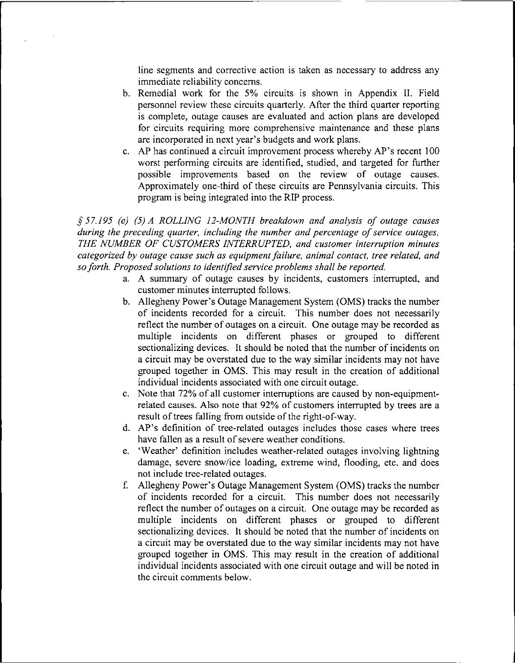line segments and corrective action is taken as necessary to address any immediate reliability concerns.

- b. Remedial work for the 5% circuits is shown in Appendix II. Field personnel review these circuits quarterly. After the third quarter reporting is complete, outage causes are evaluated and action plans are developed for circuits requiring more comprehensive maintenance and these plans are incorporated in next year's budgets and work plans.
- c. AP has continued <sup>a</sup> circuit improvement process whereby AP's recent <sup>100</sup> worst performing circuits are identified, studied, and targeted for further possible improvements based on the review of outage causes. Approximately one-third of these circuits are Pennsylvania circuits. This program is being integrated into the RIP process.

*§57.195 (e) (5) A ROLLING 12-MONTH breakdown and analysis of outage causes during the preceding quarter, including the number and percentage of service outages, THE NUMBER OF CUSTOMERS INTERRUPTED, and customer interruption minutes categorized by outage cause such as equipmentfailure, animal contact, tree related, and soforth. Proposed solutions to identified serviceproblems shall be reported.*

- a. A summary of outage causes by incidents, customers interrupted, and customer minutes interrupted follows.
- b. Allegheny Power's Outage Management System (OMS) tracks the number of incidents recorded for a circuit. This number does not necessarily reflect the number of outages on <sup>a</sup> circuit. One outage may be recorded as multiple incidents on different phases or grouped to different sectionalizing devices. It should be noted that the number of incidents on a circuit may be overstated due to the way similar incidents may not have grouped together in OMS. This may result in the creation of additional individual incidents associated with one circuit outage.
- c. Note that 72% of all customer interruptions are caused by non-equipmentrelated causes. Also note that 92% of customers interrupted by trees are <sup>a</sup> result of trees falling from outside of the right-of-way.
- d. AP's definition of tree-related outages includes those cases where trees have fallen as <sup>a</sup> result of severe weather conditions.
- e. 'Weather' definition includes weather-related outages involving lightning damage, severe snow/ice loading, extreme wind, flooding, etc. and does not include tree-related outages.
- f. Allegheny Power's Outage Management System (OMS) tracks the number of incidents recorded for <sup>a</sup> circuit. This number does not necessarily reflect the number of outages on a circuit. One outage may be recorded as multiple incidents on different phases or grouped to different sectionalizing devices. It should be noted that the number of incidents on a circuit may be overstated due to the way similar incidents may not have grouped together in OMS. This may result in the creation of additional individual incidents associated with one circuit outage and will be noted in the circuit comments below.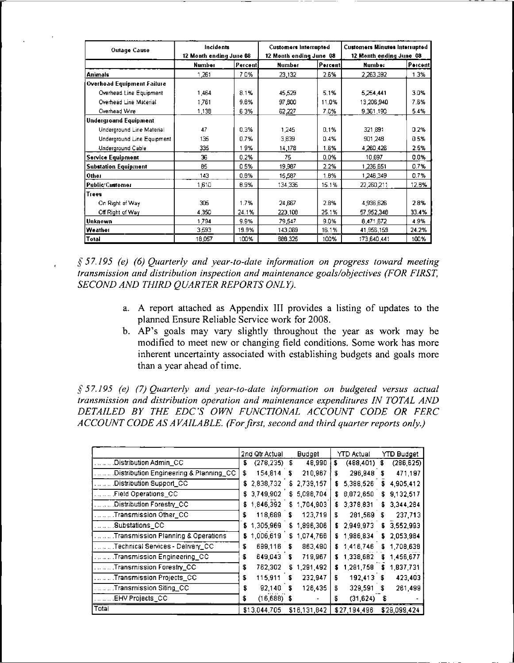| <b>Outage Cause</b>          | Incidents<br>12 Month ending June 08 |          | <b>Customers Interrupted</b><br>12 Month ending June 08 |         | <b>Customers Minutes Interrupted</b><br>12 Month ending June 08 |         |  |
|------------------------------|--------------------------------------|----------|---------------------------------------------------------|---------|-----------------------------------------------------------------|---------|--|
|                              | Number                               | Percenti | Number                                                  | Percent | Number                                                          | Percent |  |
| <b>Animals</b>               | 1 261                                | 70%      | 23,132                                                  | 2.6%    | 2 263,392                                                       | 1.3%    |  |
| Overhead Equipment Failure   |                                      |          |                                                         |         |                                                                 |         |  |
| Overhead Line Equipment      | 1.464                                | 8.1%     | 45,529                                                  | 5.1%    | 5.254,441                                                       | 3.0%    |  |
| Overhead Line Material       | 1.761                                | 9.8%     | 97.600                                                  | 11.0%   | 13,206,940                                                      | 7.6%    |  |
| Overhead Wire                | 1 136                                | 63%      | 62,227                                                  | 7.0%    | 9 361,190                                                       | 5.4%    |  |
| <b>Underground Equipment</b> |                                      |          |                                                         |         |                                                                 |         |  |
| Underground Line Material    | 47                                   | 0.3%     | 1,245                                                   | 0.1%    | 321.891                                                         | 0.2%    |  |
| Underground Line Equipment   | 135                                  | 0.7%     | 3,839                                                   | 0.4%    | 901,248                                                         | 05%     |  |
| Underground Cable            | 335                                  | 19%      | 14.178                                                  | 1.6%    | 4 260,426                                                       | 2.5%    |  |
| <b>Service Equipment</b>     | 36                                   | 0.2%     | 75                                                      | 0.0%    | 10.897                                                          | 0.0%    |  |
| <b>Substation Equipment</b>  | 85                                   | 05%      | 19,987                                                  | 2.2%    | 1 236,651                                                       | 0.7%    |  |
| Other                        | 143                                  | 0.8%     | 15.587                                                  | 1.6%    | 1,246,349                                                       | 0.7%    |  |
| <b>Public/Customer</b>       | 1,610                                | 8.9%     | 134 335                                                 | 15.1%   | 22,260,211                                                      | 12.6%   |  |
| Trees                        |                                      |          |                                                         |         |                                                                 |         |  |
| On Right of Way              | 305                                  | 1.7%     | 24,667                                                  | 2.8%    | 4 936 626                                                       | 2.8%    |  |
| Off Right of Way             | 4,350                                | 24.1%    | 223 108                                                 | 25.1%   | 57,952,348                                                      | 33.4%   |  |
| Unknown                      | 1.794                                | 9.9%     | 79.547                                                  | 9.0%    | 8.471.672                                                       | 4.9%    |  |
| Weather                      | 3.593                                | 19.9%    | 143,069                                                 | 16.1%   | 41,956,159                                                      | 24.2%   |  |
| Total                        | 18.057                               | 100%     | 686,325                                                 | 100%    | 173,640,441                                                     | 100%    |  |

*§57.195 (e) (6) Quarterly and year-to-date information on progress toward meeting transmission and distribution inspection and maintenance goals/objectives (FOR FIRST, SECOND AND THIRD QUARTER REPORTS ONLY).*

- a. A report attached as Appendix III provides <sup>a</sup> listing of updates to the planned Ensure Reliable Service work for 2008.
- b. AP's goals may vary slightly throughout the year as work may be modified to meet new or changing field conditions. Some work has more inherent uncertainty associated with establishing budgets and goals more than a year ahead of time.

*§57.195 (e) (7) Quarterly and year-to-date information on budgeted versus actual transmission and distribution operation and maintenance expenditures IN TOTAL AND DETAILED BY THE EDC'S OWN FUNCTIONAL ACCOUNT CODE OR FERC ACCOUNT CODE ASA VAILABLE. (Forfirst, second and third quarter reports only.)*

|                                        | 2nd Qtr Actual        | <b>Budget</b> | <b>YTD Actual</b> | <b>YTD Budget</b> |
|----------------------------------------|-----------------------|---------------|-------------------|-------------------|
| Distribution Admin_CC                  | $(278, 235)$ \$<br>\$ | 48,990        | (488, 401)<br>s   | (286, 625)<br>s   |
| Distribution Engineering & Planning_CC | 154,814               | 210,967       | 296,948           | 471,197           |
|                                        | \$                    | S             | s                 | s                 |
| Distribution Support_CC                | 2,838,732<br>S        | \$2,739,157   | 5,388,526<br>s    | 4,905,412<br>S    |
| Field Operations_CC                    | \$3,749,902           | \$5,098,704   | 8,872,650         | 9,132,517<br>S    |
| Distribution Forestry_CC               | 1,846,392             | 1,704,903     | 3,378,831         | 3.344.284         |
|                                        | \$                    | \$            | £                 | s.                |
| Transmission Other_CC                  | 118,689               | 123,719       | 281,569           | 237.713           |
|                                        | \$                    | S             | £                 | S                 |
| .Substations_CC                        | 1,305,969             | 1,896,306     | 2,949,973         | 3.552.993         |
|                                        | s                     | \$            | s.                | \$                |
| Transmission Planning & Operations     | 1,006,619             | 1,074.766     | 1,986,834         | 2,053,984         |
|                                        | s                     | £             | s.                | s                 |
| Technical Services - Delivery_CC       | 699,116               | 863,490       | 1.416,746         | 1,708.638         |
|                                        | \$                    | S             | s.                | £                 |
| Transmission Engineering_CC            | 649.043               | 719,967       | 1,338,682         | 1,456,677         |
|                                        | \$                    | S             | s.                | s                 |
| Transmission Forestry_CC               | 762,302               | 1,291,492     | 1,281,758         | 1,837,731         |
|                                        | \$                    | S             | s                 | s                 |
| Transmission Projects_CC               | 115,911               | 232,947       | 192,413           | 423,403           |
|                                        | \$                    | s             | S                 | S                 |
| Transmission Siting CC                 | 92,140                | 126,435       | 329,591           | 261,499           |
|                                        | \$                    | s             | S                 | £                 |
| EHV Projects_CC                        | $(16,688)$ \$<br>\$   |               | (31, 624)<br>£    | S                 |
| Total                                  | \$13,044,705          | \$16,131,842  | \$27,194,496      | \$29,099,424      |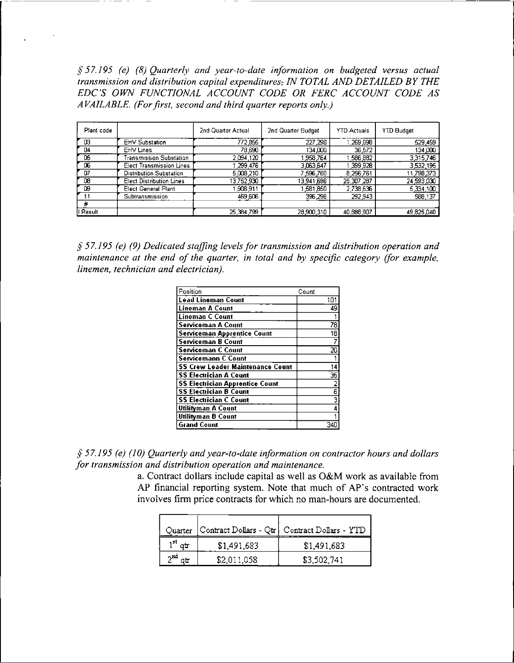*§57.195 (e) (8) Quarterly and year-to-date information on budgeted versus actual transmission and distribution capital expendituresr IN TOTAL AND DETAILED BY THE EDO'S OWN FUNCTIONAL ACCOUNT CODE OR FERC ACCOUNT CODE AS A VAILABLE. (Forfirst, second and third quarter reports only.)*

| Plant code |                                 | 2nd Quarter Actual | 2nd Quarter Budget | <b>YTD Actuals</b> | <b>YTD Budget</b> |
|------------|---------------------------------|--------------------|--------------------|--------------------|-------------------|
| œ          | <b>EHV Substation</b>           | 772,855            | 227,298            | 269,898            | 529,459           |
| D4         | EHV Lines                       | 78,690             | 134,000            | 36,572             | 134,000           |
| 05         | Transmission Substation         | 2,094,120          | 958.764            | 586,882            | 3 315 746         |
| 06         | Elect Transmission Lines        | ,299,476           | 3,063,647          | 399 928            | 3,532,195         |
| 07         | Distribution Substation         | 5,008,210          | 7.596.760          | 8,256,761          | 11 798,373        |
| 08         | <b>Elect Distribution Lines</b> | 13,752,930         | 13,941.696         | 25,307,287         | 24 593 030        |
| œ          | Elect General Plant             | 908,911            | 581,850            | 2,738,636          | 5.334,100         |
| 11         | Subtransmission                 | 469,606            | 396.296            | 292 943            | 588.137           |
| #          |                                 |                    |                    |                    |                   |
| I Result   |                                 | 25, 384, 799       | 28,900,310         | 40,888,907         | 49 825 040        |

*§ 57.195 (e) (9) Dedicated staffing levels for transmission and distribution operation and maintenance at the end of the quarter, in total and by specific category (for example, linemen, technician and electrician).*

| Position                                | Count |
|-----------------------------------------|-------|
| <b>Lead Lineman Count</b>               | 101   |
| <b>Lineman A Count</b>                  | 49    |
| Lineman C Count                         |       |
| <b>Serviceman A Count</b>               | 78    |
| Serviceman Apprentice Count             | 18    |
| <b>Serviceman B Count</b>               | 7     |
| <b>Serviceman C Count</b>               | 20    |
| <b>Servicemann C Count</b>              |       |
| <b>SS Crew Leader Maintenance Count</b> | 14    |
| <b>SS Electrician A Count</b>           | 35    |
| <b>SS Electrician Apprentice Count</b>  | 2     |
| <b>SS Electrician B Count</b>           | ε     |
| <b>SS Electrician C Count</b>           | з     |
| Utilityman A Count                      | 4     |
| Utilityman B Count                      |       |
| <b>Grand Count</b>                      |       |

*§ 57.195 (e) (10) Quarterly andyear-to-date information on contractor hours and dollars for transmission and distribution operation and maintenance.*

a. Contract dollars include capital as well as O&M work as available from AP financial reporting system. Note that much of AP's contracted work involves firm price contracts for which no man-hours are documented.

|     |             | Quarter   Contract Dollars - Qtr   Contract Dollars - YTD |
|-----|-------------|-----------------------------------------------------------|
|     | \$1,491,683 | \$1,491,683                                               |
| ∧nd | \$2,011,058 | \$3,502,741                                               |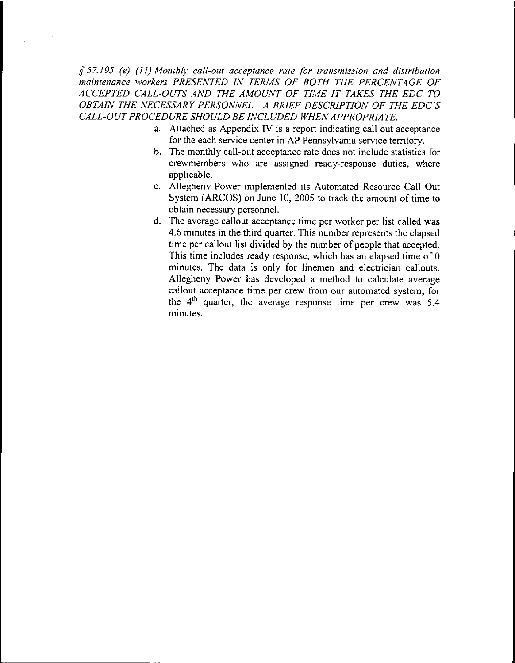*§57.195 (e) (11) Monthly call-out acceptance rate for transmission and distribution maintenance workers PRESENTED IN TERMS OF BOTH THE PERCENTAGE OF ACCEPTED CALL-OUTS AND THE AMOUNT OF TIME IT TAKES THE EDC TO OBTAIN THE NECESSARY PERSONNEL. A BRIEF DESCRIPTION OF THE EDO'S CALL-OUTPROCEDURE SHOULD BE INCLUDED WHENAPPROPRIATE.*

- a. Attached as Appendix IV is <sup>a</sup> report indicating call out acceptance for the each service center in AP Pennsylvania service territory.
- b. The monthly call-out acceptance rate does not include statistics for crewmembers who are assigned ready-response duties, where applicable.
- c. Allegheny Power implemented its Automated Resource Call Out System (ARCOS) on June 10, 2005 to track the amount of time to obtain necessary personnel.
- d. The average callout acceptance time per worker per list called was 4.6 minutes in the third quarter. This number represents the elapsed time per callout list divided by the number of people that accepted. This time includes ready response, which has an elapsed time of 0 minutes. The data is only for linemen and electrician callouts. Allegheny Power has developed a method to calculate average callout acceptance time per crew from our automated system; for the  $4<sup>th</sup>$  quarter, the average response time per crew was 5.4 minutes.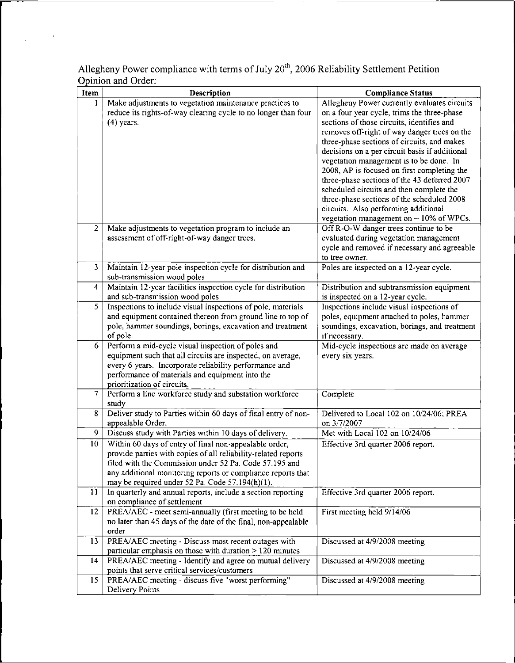| Item            | Description                                                                                 | <b>Compliance Status</b>                                       |
|-----------------|---------------------------------------------------------------------------------------------|----------------------------------------------------------------|
| $\mathbf{1}$    | Make adjustments to vegetation maintenance practices to                                     | Allegheny Power currently evaluates circuits                   |
|                 | reduce its rights-of-way clearing cycle to no longer than four                              | on a four year cycle, trims the three-phase                    |
|                 | $(4)$ years.                                                                                | sections of those circuits, identifies and                     |
|                 |                                                                                             | removes off-right of way danger trees on the                   |
|                 |                                                                                             | three-phase sections of circuits, and makes                    |
|                 |                                                                                             | decisions on a per circuit basis if additional                 |
|                 |                                                                                             | vegetation management is to be done. In                        |
|                 |                                                                                             | 2008, AP is focused on first completing the                    |
|                 |                                                                                             | three-phase sections of the 43 deferred 2007                   |
|                 |                                                                                             | scheduled circuits and then complete the                       |
|                 |                                                                                             | three-phase sections of the scheduled 2008                     |
|                 |                                                                                             | circuits. Also performing additional                           |
|                 |                                                                                             | vegetation management on $\sim$ 10% of WPCs.                   |
| $\overline{2}$  | Make adjustments to vegetation program to include an                                        | Off R-O-W danger trees continue to be                          |
|                 | assessment of off-right-of-way danger trees.                                                | evaluated during vegetation management                         |
|                 |                                                                                             | cycle and removed if necessary and agreeable<br>to tree owner. |
| 3               | Maintain 12-year pole inspection cycle for distribution and                                 | Poles are inspected on a 12-year cycle.                        |
|                 | sub-transmission wood poles                                                                 |                                                                |
| 4               | Maintain 12-year facilities inspection cycle for distribution                               | Distribution and subtransmission equipment                     |
|                 | and sub-transmission wood poles                                                             | is inspected on a 12-year cycle.                               |
| 5               | Inspections to include visual inspections of pole, materials                                | Inspections include visual inspections of                      |
|                 | and equipment contained thereon from ground line to top of                                  | poles, equipment attached to poles, hammer                     |
|                 | pole, hammer soundings, borings, excavation and treatment                                   | soundings, excavation, borings, and treatment                  |
|                 | of pole.                                                                                    | if necessary.                                                  |
| 6               | Perform a mid-cycle visual inspection of poles and                                          | Mid-cycle inspections are made on average                      |
|                 | equipment such that all circuits are inspected, on average,                                 | every six years.                                               |
|                 | every 6 years. Incorporate reliability performance and                                      |                                                                |
|                 | performance of materials and equipment into the                                             |                                                                |
| $\overline{7}$  | prioritization of circuits.<br>Perform a line workforce study and substation workforce      | Complete                                                       |
|                 | study                                                                                       |                                                                |
| 8               | Deliver study to Parties within 60 days of final entry of non-                              | Delivered to Local 102 on 10/24/06; PREA                       |
|                 | appealable Order.                                                                           | on 3/7/2007                                                    |
| 9               | Discuss study with Parties within 10 days of delivery.                                      | Met with Local 102 on 10/24/06                                 |
| 10              | Within 60 days of entry of final non-appealable order,                                      | Effective 3rd quarter 2006 report.                             |
|                 | provide parties with copies of all reliability-related reports                              |                                                                |
|                 | filed with the Commission under 52 Pa. Code 57.195 and                                      |                                                                |
|                 | any additional monitoring reports or compliance reports that                                |                                                                |
|                 | may be required under 52 Pa. Code 57.194(h)(1).                                             |                                                                |
| 11              | In quarterly and annual reports, include a section reporting<br>on compliance of settlement | Effective 3rd quarter 2006 report.                             |
| 12              | PREA/AEC - meet semi-annually (first meeting to be held                                     | First meeting held 9/14/06                                     |
|                 | no later than 45 days of the date of the final, non-appealable                              |                                                                |
|                 | order                                                                                       |                                                                |
| 13 <sup>°</sup> | PREA/AEC meeting - Discuss most recent outages with                                         | Discussed at 4/9/2008 meeting                                  |
|                 | particular emphasis on those with duration $> 120$ minutes                                  |                                                                |
| 14              | PREA/AEC meeting - Identify and agree on mutual delivery                                    | Discussed at 4/9/2008 meeting                                  |
|                 | points that serve critical services/customers                                               |                                                                |
| 15              | PREA/AEC meeting - discuss five "worst performing"                                          | Discussed at 4/9/2008 meeting                                  |
|                 | Delivery Points                                                                             |                                                                |

Allegheny Power compliance with terms of July  $20<sup>th</sup>$ , 2006 Reliability Settlement Petition Opinion and Order: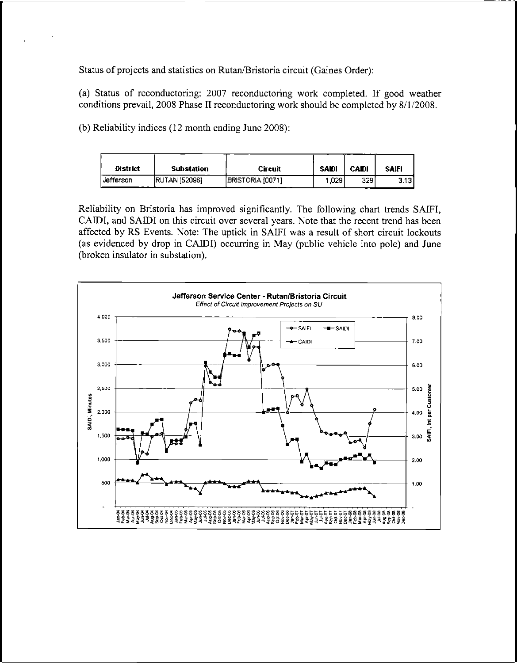Status of projects and statistics on Rutan/Bristoria circuit (Gaines Order):

(a) Status of reconductoring: <sup>2007</sup> reconductoring work completed. If good weather conditions prevail, 2008 Phase II reconductoring work should be completed by 8/1/2008.

(b) Reliability indices (12 month ending June 2008):

| <b>District</b> | Substation            | Circuit           | <b>SAIDI</b> | <b>CAIDI</b> | <b>SAIFI</b> |
|-----------------|-----------------------|-------------------|--------------|--------------|--------------|
| Jefferson       | <b>IRUTAN 1520961</b> | IBRISTORIA (0071) | 1.029        | 329          | 3131         |

Reliability on Bristoria has improved significantly. The following chart trends SAIFI, CAIDI, and SAIDI on this circuit over several years. Note that the recent trend has been affected by RS Events. Note: The uptick in SAIFI was a result of short circuit lockouts (as evidenced by drop in CAIDI) occurring in May (public vehicle into pole) and June (broken insulator in substation).

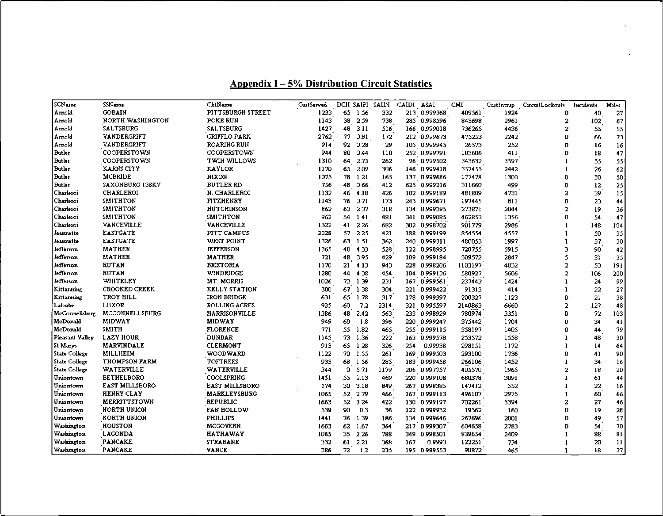| <b>SCName</b>        | SSN ame               | CktName               | CustServed |              |         | DCII SAIFI SAIDI | CAIDI | ASAI         | CMI     | CustIntmp | CircuitLockouts | Incidents | <b>Miles</b>  |
|----------------------|-----------------------|-----------------------|------------|--------------|---------|------------------|-------|--------------|---------|-----------|-----------------|-----------|---------------|
| Amold                | <b>GOBAIN</b>         | PITTSBURGH STREET     | 1233       | 65           | -1.56   | 332              |       | 213 0.999368 | 409561  | 1924      | 0               | 40        | 27            |
| Arnold               | NORTH WASHINGTON      | POKE RUN              | 1143       | 38           | 2.59    | 738              |       | 285 0.998596 | 843698  | 2961      | 2               | 102       | 67            |
| Amold                | <b>SALTSBURG</b>      | <b>SALTSBURG</b>      | 1427       | 48           | 3.11    | 516              |       | 166 0.999018 | 736265  | 4436      | 2               | 55        | 55            |
| Arnold               | VANDERGRIFT           | <b>GRIFFLO PARK</b>   | 2762       | 77           | 0.81    | 172              |       | 212 0.999673 | 475253  | 2242      | Ω               | 66        | 73            |
| Arnold               | VANDERGRIFT           | <b>ROARING RUN</b>    | 914        | 92           | 0.28    | 29               |       | 105 0.999945 | 26573   | 252       | n               | 16        | 16            |
| <b>Butler</b>        | COOPERSTOWN           | COOPERSTOWN           | 944        | 80           | 0.44    | 110              |       | 252 0.999791 | 103606  | 411       | D               | 18        | 47            |
| <b>Butler</b>        | COOPERSTOWN           | TWIN WILLOWS          | 1310       | 64           | 2.75    | 262              |       | 96 0.999502  | 343632  | 3597      |                 | 55        | 55            |
| <b>Butler</b>        | KARNS CITY            | <b>KAYLOR</b>         | 1170       | 65           | 2.09    | 306              |       | 146 0.999418 | 357455  | 2442      |                 | 26        | 62            |
| <b>Butler</b>        | <b>MCBRIDE</b>        | NIXON                 | 1075       | 78           | -1.21   | 165              |       | 137 0.999686 | 177478  | 1300      | ٥               | 30        | 50            |
| <b>Butler</b>        | SAXONBURG 138KV       | <b>BUTLER RD</b>      | 756        | 48           | 0.66    | 412              |       | 625 0.999216 | 311660  | 499       | O               | 12        | 25            |
| Charleroi            | CHARLEROI             | N. CHARLEROI          | 1132       | 46           | 4.18    | 426              |       | 102 0.999189 | 481809  | 4731      | $\overline{a}$  | 39        | 15            |
| Charleroi            | <b>SMITHTON</b>       | <b>FITZHENRY</b>      | 1143       | 76           | 0.71    | 173              |       | 243 0.999671 | 197445  | 811       | Û               | 23        | 44            |
| Charleroi            | <b>SMITHTON</b>       | HUTCHINSON            | 862        | 63.          | 2.37    | 318              |       | 134 0.999395 | 273871  | 2044      | $\overline{2}$  | 19        | 36            |
| Charleroi            | <b>SMITHTON</b>       | <b>SMITHTON</b>       | 962        | 54           | 1.41    | 481              |       | 341 0.999085 | 462853  | 1356      | Ű               | 54        | 47            |
| Charleroi            | VANCEVILLE            | <b>VANCEVILLE</b>     | 1322       | 41           | 2.26    | 682              |       | 302 0.998702 | 901779  | 2986      |                 | 148       | 104           |
| Jeannette            | <b>LASTGATE</b>       | PITT CAMPUS           | 2028       |              | 57 2.25 | 421              |       | 188 0.999199 | 854554  | 4557      |                 | 50        | 35            |
| Jeannette            | <b>EASTGATE</b>       | WEST POINT            | 1326       | 63           | 1.51    | 362              |       | 240 0.999311 | 480053  | 1997      |                 | 37        | 30            |
| Jefferson            | <b>MATHER</b>         | <b>JEFFERSON</b>      | 1365       | 40           | 4.33    | 528              |       | 122 0.998995 | 720755  | 5915      | 3               | 90        | 42            |
| Jefferson            | <b>MATHER</b>         | <b>MATHER</b>         | 721        | 48           | 3.95    | 429              |       | 109 0.999184 | 309572  | 2847      | S               | 31        | 35            |
| Jefferson            | <b>RUTAN</b>          | <b>BRISTORIA</b>      | 1170       | 21           | -4.13   | 943              |       | 228 0.998206 | 1103197 | 4832      | 2               | 53        | 191           |
| Jefferson            | <b>RUTAN</b>          | WINDRIDGE             | 1280       | 44           | 4.38    | 454              |       | 104 0.999136 | 580927  | 5606      | $\overline{2}$  | 106       | 200           |
| Jefferson            | WHITELEY              | MT. MORRIS            | 1026       | 72           | 1.39    | 231              |       | 167 0.999561 | 237443  | 1424      |                 | 24        | 99            |
| Kittanning           | <b>CROOKED CREEK</b>  | KELLY STATION         | 300        | 67           | 1.38    | 304              |       | 221 0.999422 | 91313   | 414       |                 | 22        | 27            |
| Kittanning           | TROY HILL             | IRON BRIDGE           | 631        | 65           | 1.78    | 317              |       | 178 0.999397 | 200327  | 1123      | 0               | 21        | 38            |
| Latrobe              | LUXOR                 | <b>ROLLING ACRES</b>  | 925        | $-60$        | 7.2     | 2314             |       | 321 0.995597 | 2140863 | 6660      | $\overline{a}$  | 127       | 48            |
| McConnellsburg       | MCCONNELLSBURG        | HARRISONVILLE         | 1386       | 48           | 2.42    | 563              |       | 233 0.998929 | 780974  | 3351      | 0               | 72        | 103           |
| McDonald             | <b>MIDWAY</b>         | <b>MIDWAY</b>         | 949        | 60           | 1.8     | 396              |       | 220 0.999247 | 375442  | 1704      | Ū               | 34        | 41            |
| McDonald             | <b>SMITH</b>          | <b>FLORENCE</b>       | 771        | 55           | 1.82    | 465              |       | 255 0.999115 | 358197  | 1405      | 0               | 44        | 79            |
| Pleasant Valley      | <b>LAZY HOUR</b>      | <b>DUNBAR</b>         | 1145       | 73           | 1.36    | 222              |       | 163 0.999578 | 253572  | 1558      |                 | 48        | 30            |
| St Marys             | <b>MARVINDALE</b>     | <b>CLERMONT</b>       | 913        | 65           | 1.28    | 326              | 254   | 0.99938      | 298151  | 1172      |                 | 14        | 64            |
| <b>State College</b> | MILLHEIM              | WOODWARD              | 1122       | 70           | 1.55    | 261              |       | 169 0.999503 | 293100  | 1736      | Ũ               | 41        | 90            |
| <b>State College</b> | <b>THOMPSON FARM</b>  | <b>TOFTREES</b>       | 933        | 68.          | -1.56   | 285              |       | 183 0.999458 | 266106  | 1452      |                 | 34        | 16            |
| <b>State College</b> | WATERVILLE            | WATERVILLE            | 344        | $\mathbf{0}$ | 5.71    | 1179             |       | 206 0.997757 | 405570  | 1965      | 2               | 18        | 20            |
| Uniontown            | <b>BETHELBORO</b>     | COOLSPRING            | 1451       | 55.          | -2.13   | 469              |       | 220 0.999108 | 680378  | 3091      |                 | 61        | 44            |
| Uniontown            | <b>EAST MILLSBORO</b> | <b>EAST MILLSBORO</b> | 174        | 30           | 3.18    | 849              |       | 267 0.998385 | 147412  | 552       |                 | 22        | 16            |
| Uniontown            | HENRY CLAY            | MARKLEYSBURG          | 1065       | 52           | 2.79    | 466              |       | 167 0.999113 | 496107  | 2975      |                 | 60        | 66            |
| Uniontown            | <b>MERRITTSTOWN</b>   | <b>REPUBLIC</b>       | 1663       | 52           | 3.24    | 422              |       | 130 0.999197 | 702261  | 5394      | 2               | 27        | 46            |
| Uniontown            | <b>NORTH UNION</b>    | <b>FAN HOLLOW</b>     | 539        | 90           | 0.3     | 36               |       | 122 0.999932 | 19562   | 150       | 0               | 19        | 28            |
| Uniontown            | <b>NORTH UNION</b>    | <b>PHILLIPS</b>       | 1441       | 76           | 1.39    | 186              |       | 134 0.999646 | 267696  | 2001      | n               | 49        | 57            |
| Washington           | HOUSTON               | <b>MCGOVERN</b>       | 1663       | 62           | 1.67    | 364              |       | 217 0.999307 | 604658  | 2783      | O               | 34        | 70            |
| Washington           | LAGONDA               | <b>HATHAWAY</b>       | 1065       | 35           | 2.26    | 788              |       | 349 0.998501 | 839654  | 2409      |                 | 88        | 81            |
| <b>Washington</b>    | <b>PANCAKE</b>        | <b>STRABANE</b>       | 332        |              | 61 2.21 | 368              | 167   | 0.9993       | 122251  | 734       |                 | 20        | $\mathbf{11}$ |
| Washington           | <b>PANCAKE</b>        | VANCE                 | 386        | 72           | 1.2     | 235              |       | 195 0.999553 | 90872   | 465       |                 | 18        | 37            |

# **Appendix <sup>I</sup> - 5% Distribution Circuit Statistics**

 $\ddot{\phantom{a}}$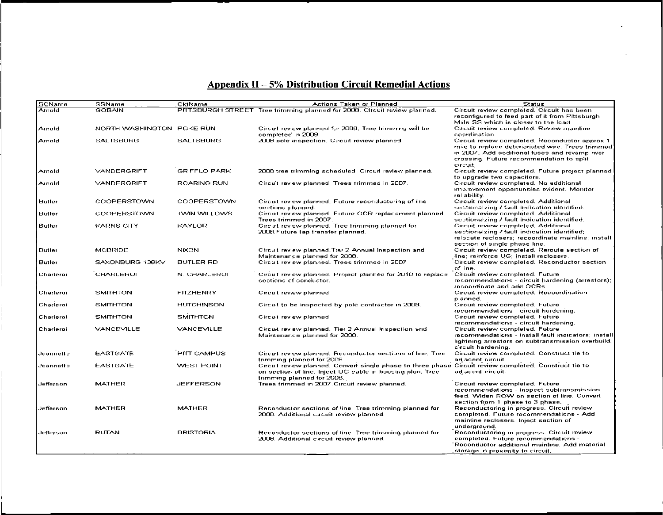# **Appendix II- 5% Distribution Circuit Remedial Actions**

| SCName        | <b>SSName</b>             | CktName             | <b>Actions Taken or Planned</b>                                                                        | <b>Status</b>                                                                          |
|---------------|---------------------------|---------------------|--------------------------------------------------------------------------------------------------------|----------------------------------------------------------------------------------------|
| Arnold        | <b>GOBAIN</b>             |                     | PITTSBURGH STREET Tree trimming planned for 2008. Circuit review planned.                              | Circuit review completed. Circuit has been                                             |
|               |                           |                     |                                                                                                        | reconfigured to feed part of it from Pittsburgh.                                       |
|               |                           |                     |                                                                                                        | Mills SS which is closer to the load.                                                  |
| Arnold        | NORTH WASHINGTON POKE RUN |                     | Circuit review planned for 2008. Tree trimming will be                                                 | Circuit review completed. Review mainline                                              |
|               |                           |                     | completed in 2009                                                                                      | coordination.                                                                          |
| Arnold        | <b>SALTSBURG</b>          | <b>SALTSBURG</b>    | 2008 pole inspection. Circuit review planned.                                                          | Circuit review completed. Reconductor approx 1                                         |
|               |                           |                     |                                                                                                        | mile to replace deterioriated wire. Trees trimmed                                      |
|               |                           |                     |                                                                                                        | in 2007. Add additional fuses and revamp river                                         |
|               |                           |                     |                                                                                                        | crossing. Future recommendation to split                                               |
|               |                           |                     |                                                                                                        | circuit.                                                                               |
| Arnold        | VANDERGRIFT               | <b>GRIFFLO PARK</b> | 2008 tree trimming scheduled. Circuit review planned.                                                  | Circuit review completed. Future project planned                                       |
|               |                           |                     |                                                                                                        | to upgrade two capacitors.                                                             |
| Arnold        | VANDERGRIFT               | ROARING RUN         | Circuit review planned. Trees trimmed in 2007.                                                         | Circuit review completed. No additional                                                |
|               |                           |                     |                                                                                                        | improvement opportunities evident. Monitor                                             |
|               |                           |                     |                                                                                                        | reliability.                                                                           |
| <b>Butler</b> | COOPERSTOWN               | COOPERSTOWN         | Circuit review planned. Future reconductoring of line                                                  | Circuit review completed. Additional                                                   |
|               |                           |                     | sections planned.                                                                                      | sectionalzing / fault indication identified.                                           |
| <b>Butler</b> | <b>COOPERSTOWN</b>        | TWIN WILLOWS        | Circuit review planned, Future OCR replacement planned.                                                | Circuit review completed. Additional                                                   |
|               |                           |                     | Trees trimmed in 2007.                                                                                 | sectionalzing / fault indication identified.                                           |
| Butler        | KARNS CITY                | KAYLOR              | Circuit review planned. Tree trimming planned for                                                      | Circuit review completed. Additional                                                   |
|               |                           |                     | 2008. Future tap transfer planned.                                                                     | sectionalzing / fault indication identified;                                           |
|               |                           |                     |                                                                                                        | relocate reclosers; recoordinate mainline; install                                     |
|               |                           |                     |                                                                                                        | section of single phase line.                                                          |
| <b>Butler</b> | <b>MCBRIDE</b>            | <b>NIXON</b>        | Circuit review planned. Tier 2 Annual Inspection and<br>Maintenance planned for 2008.                  | Circuit review completed. Reroute section of<br>line; reinforce UG; install reclosers. |
| <b>Butler</b> | SAXONBURG 138KV           | <b>BUTLER RD</b>    | Circuit review planned. Trees trimmed in 2007                                                          | Circuit review completed. Reconductor section                                          |
|               |                           |                     |                                                                                                        | of line.                                                                               |
| Charleroi     | CHARLEROI                 | N. CHARLEROI        | Circuit review planned. Project planned for 2010 to replace                                            | Circuit review completed. Future                                                       |
|               |                           |                     | sections of conductor.                                                                                 | recommendations - circuit hardening (arrestors);                                       |
|               |                           |                     |                                                                                                        | recoordinate and add OCRs.                                                             |
| Charleroi     | <b>SMITHTON</b>           | <b>FITZHENRY</b>    | Circuit review planned                                                                                 | Circuit review completed. Recoordination.                                              |
|               |                           |                     |                                                                                                        | planned.                                                                               |
| Charleroi     | <b>SMITHTON</b>           | <b>HUTCHINSON</b>   | Circuit to be inspected by pole contractor in 2008.                                                    | Circuit review completed. Future                                                       |
|               |                           |                     |                                                                                                        | recommendations - circuit hardening.                                                   |
| Charleroi     | <b>SMITHTON</b>           | <b>SMITHTON</b>     | Circuit review planned                                                                                 | Circuit review completed. Future                                                       |
|               |                           |                     |                                                                                                        | recommendations - circuit hardening.                                                   |
| Charleroi     | <b>VANCEVILLE</b>         | <b>VANCEVILLE</b>   | Circuit review planned. Tier 2 Annual Inspection and                                                   | Circuit review completed. Future                                                       |
|               |                           |                     | Maintenance planned for 2008.                                                                          | recommendations - install fault indicators; install                                    |
|               |                           |                     |                                                                                                        | lightning arrestors on subtransmission overbuild;                                      |
|               |                           |                     |                                                                                                        | circuit hardening.                                                                     |
| Jeannette     | <b>EASTGATE</b>           | <b>PITT CAMPUS</b>  | Circuit review planned. Reconductor sections of line. Tree-                                            | Circuit review completed. Construct tie to                                             |
|               |                           |                     | trimming planned for 2008.                                                                             | adjacent circuit.                                                                      |
| Jeannette     | <b>EASTGATE</b>           | <b>WEST POINT</b>   | Circuit review planned. Convert single phase to three phase Circuit review completed. Construct tie to |                                                                                        |
|               |                           |                     | on section of line. Inject UG cable in housing plan. Tree                                              | adjacent circuit.                                                                      |
|               |                           |                     | trimming planned for 2008.                                                                             |                                                                                        |
| Jefferson     | MATHER                    | <b>JEFFERSON</b>    | Trees trimmed in 2007. Circuit review planned.                                                         | Circuit review completed. Future                                                       |
|               |                           |                     |                                                                                                        | recommendations - Inspect subtransmission                                              |
|               |                           |                     |                                                                                                        | feed. Widen ROW on section of line. Convert                                            |
|               |                           |                     |                                                                                                        | section from 1 phase to 3 phase.                                                       |
| Jefferson     | <b>MATHER</b>             | <b>MATHER</b>       | Reconductor sections of line. Tree trimming planned for                                                | Reconductoring in progress. Circuit review                                             |
|               |                           |                     | 2008. Additional circuit review planned.                                                               | completed. Future recommendations - Add                                                |
|               |                           |                     |                                                                                                        | mainline reclosers, Inject section of                                                  |
|               |                           |                     |                                                                                                        | underground.                                                                           |
| Jefferson     | <b>RUTAN</b>              | <b>BRISTORIA</b>    | Reconductor sections of line. Tree trimming planned for                                                | Reconductoring in progress. Circuit review                                             |
|               |                           |                     | 2008. Additional circuit review planned.                                                               | completed. Future recommendations -                                                    |
|               |                           |                     |                                                                                                        | 'Reconductor additional mainline. Add material                                         |
|               |                           |                     |                                                                                                        | storage in proximity to circuit.                                                       |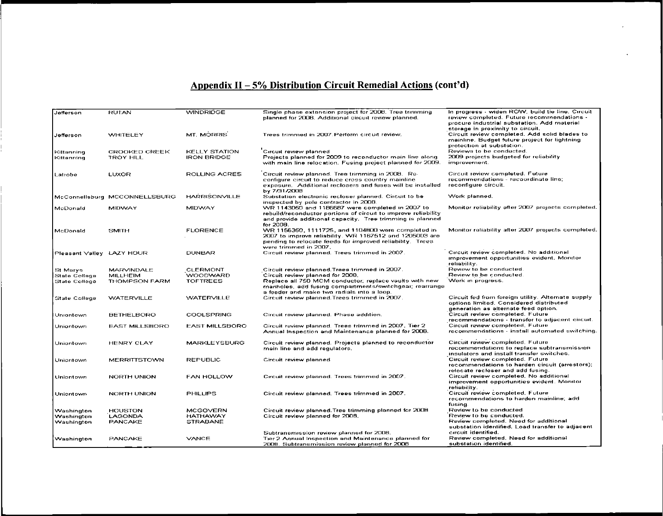# **Appendix II- 5% Distribution Circuit Remedial Actions (cont'd)**

| Jefferson                             | <b>RUTAN</b>                            | <b><i>VVINDRIDGE</i></b>                   | Single phase extension project for 2006. Tree trimming<br>planned for 2008. Additional circuit review planned.                                                                                       | In progress - widen ROW, build tie line. Circuit<br>review completed. Future recommendations -<br>procure industrial substation. Add material<br>storage in proximity to circuit. |
|---------------------------------------|-----------------------------------------|--------------------------------------------|------------------------------------------------------------------------------------------------------------------------------------------------------------------------------------------------------|-----------------------------------------------------------------------------------------------------------------------------------------------------------------------------------|
| Jefferson                             | <b>WHITELEY</b>                         | MT. MORRIS                                 | Trees trimmed in 2007. Perform circuit review.                                                                                                                                                       | Circuit review completed. Add solid blades to<br>mainline. Budget future project for lightning<br>protection at substation.                                                       |
| Kittanning<br>Kittanning              | CROOKED CREEK<br>TROY HILL              | <b>KELLY STATION</b><br><b>IRON BRIDGE</b> | Circuit review planned<br>Projects planned for 2009 to reconductor main line along<br>with main line relocation. Fusing project planned for 2009.                                                    | Reviews to be conducted.<br>2009 projects budgeted for reliability<br>improvement.                                                                                                |
| Latrobe                               | LUXOR                                   | <b>ROLLING ACRES</b>                       | Circuit review planned. Tree trimming in 2008. Re-<br>configure circuit to reduce cross country mainline<br>exposure. Additional reclosers and fuses will be installed<br>by 7/31/2008               | Circuit review completed. Future<br>recommendations - recoordinate line;<br>reconfigure circuit.                                                                                  |
|                                       | McConnellsburg MCCONNELLSBURG           | <b>HARRISONVILLE</b>                       | Substation electronic recloser planned, Circuit to be<br>inspected by pole contractor in 2008.                                                                                                       | Work planned.                                                                                                                                                                     |
| McDonald                              | MIDWAY                                  | <b>MIDWAY</b>                              | WR 1143050 and 1186687 were completed in 2007 to<br>rebuild/reconductor portions of circuit to improve reliability<br>and provide additional capacity. Tree trimming is planned<br>for 2008.         | Monitor reliability after 2007 projects completed.                                                                                                                                |
| McDonald                              | <b>SMITH</b>                            | <b>FLORENCE</b>                            | VVR 1156350, 1111725, and 1104600 were completed in<br>2007 to improve reliability. WR 1167512 and 1205003 are<br>pending to relocate feeds for improved reliability. Trees<br>were trimmed in 2007. | Monitor reliability after 2007 projects completed.                                                                                                                                |
| Pleasant Valley LAZY HOUR             |                                         | <b>DUNBAR</b>                              | Circuit review planned. Trees trimmed in 2007.                                                                                                                                                       | Circuit review completed. No additional<br>improvement opportunities evident. Monitor<br>reliability.                                                                             |
| St Marvs                              | <b>MARVINDALE</b>                       | <b>CLERMONT</b>                            | Circuit review planned. Trees trimmed in 2007.                                                                                                                                                       | Review to be conducted.                                                                                                                                                           |
| <b>State College</b><br>State College | <b>MILLHEIM</b><br><b>THOMPSON FARM</b> | WOODWARD<br><b>TOFTREES</b>                | Circuit review planned for 2008.<br>Replace all 750 MCM conductor; replace vaults with new<br>manholes, add fusing compartments/switchgear; rearrange<br>a feeder and make two radials into a loop.  | Review to be conducted.<br>Work in progress.                                                                                                                                      |
| <b>State College</b>                  | <b>WATERVILLE</b>                       | <b>VVATERVILLE</b>                         | Circuit review planned. Trees trimmed in 2007.                                                                                                                                                       | Circuit fed from foreign utility. Alternate supply<br>options limited. Considered distributed<br>generation as alternate feed option.                                             |
| Untentown                             | <b>BETHELBORO</b>                       | COOLSPRING                                 | Circuit review planned. Phase addition.                                                                                                                                                              | Circuit review completed. Future<br>recommendations - transfer to adjacent circuit.                                                                                               |
| Uniontown                             | <b>EAST MILLSBORO</b>                   | <b>EAST MILLSBORO</b>                      | Circuit review planned. Trees trimmed in 2007. Tier 2.<br>Annual Inspection and Maintenance planned for 2008.                                                                                        | Circuit review completed, Future<br>recommendations - install automated switching.                                                                                                |
| Uniontown                             | <b>HENRY CLAY</b>                       | <b>MARKLEYSBURG</b>                        | Circuit review planned. Projects planned to reconductor<br>main line and add regulators.                                                                                                             | Circuit review completed. Future<br>recommendations to replace subtransmission<br>insulators and install transfer switches.                                                       |
| Uniontown                             | <b>MERRITTSTOWN</b>                     | <b>REPUBLIC</b>                            | Circuit review planned                                                                                                                                                                               | Circuit review completed. Future<br>recommendations to harden circuit (arrestors);<br>relocate recloser and add fusing.                                                           |
| Uniontown                             | NORTH UNION                             | <b>FAN HOLLOW</b>                          | Circuit review planned. Trees trimmed in 2007.                                                                                                                                                       | Circuit review completed. No additional<br>improvement opportunities evident. Monitor<br>reliability.                                                                             |
| Uniontown                             | <b>NORTH UNION</b>                      | <b>PHILLIPS</b>                            | Circuit review planned. Trees trimmed in 2007.                                                                                                                                                       | Circuit review completed. Future<br>recommendations to harden mainline, add<br>tusing.                                                                                            |
| Washington                            | <b>HOUSTON</b>                          | <b>MCGOVERN</b>                            | Circuit review planned. Tree trimming planned for 2008                                                                                                                                               | Review to be conducted                                                                                                                                                            |
| Washington                            | LAGONDA                                 | <b>HATHAWAY</b>                            | Circuit review planned for 2008.                                                                                                                                                                     | Review to be conducted.                                                                                                                                                           |
| Washington                            | <b>PANCAKE</b>                          | <b>STRABANE</b>                            |                                                                                                                                                                                                      | Review completed. Need for additional<br>substation identified. Load transfer to adjacent                                                                                         |
|                                       |                                         |                                            | Subtransmission review planned for 2008.                                                                                                                                                             | circuit identified.                                                                                                                                                               |
| Washington                            | <b>PANCAKE</b>                          | VANCE                                      | Tier 2 Annual Inspection and Maintenance planned for                                                                                                                                                 | Review completed. Need for additional                                                                                                                                             |
|                                       |                                         |                                            | 2008. Subtransmission review planned for 2008.                                                                                                                                                       | substation identified.                                                                                                                                                            |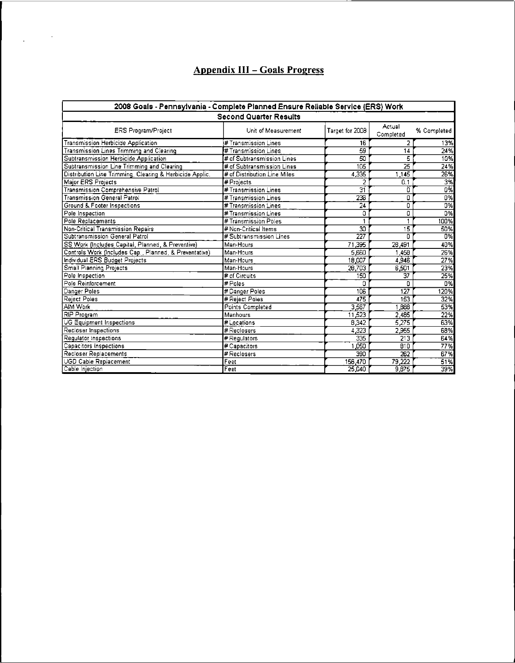# **Appendix III- Goals Progress**

 $\frac{1}{2} \left( \frac{1}{2} \right)$  ,  $\frac{1}{2} \left( \frac{1}{2} \right)$ 

| 2008 Goals - Pennsylvania - Complete Planned Ensure Reliable Service (ERS) Work |                              |                  |                     |                   |  |  |  |
|---------------------------------------------------------------------------------|------------------------------|------------------|---------------------|-------------------|--|--|--|
| <b>Second Quarter Results</b>                                                   |                              |                  |                     |                   |  |  |  |
| <b>ERS Program/Project</b>                                                      | Unit of Measurement          | Target for 2008  | Actual<br>Completed | % Completed       |  |  |  |
| Transmission Herbicide Application                                              | # Transmission Lines         | 16               | 2                   | 13%               |  |  |  |
| Transmission Lines Trimming and Clearing                                        | #Transmission Lines          | 59               | 14                  | 24%               |  |  |  |
| Subtransmission Herbicide Application                                           | # of Subtransmission Lines   | 50               | 5                   | 10%               |  |  |  |
| Subtransmission Line Trimming and Clearing                                      | # of Subtransmission Lines   | 105              | $\overline{25}$     | 24%               |  |  |  |
| Distribution Line Trimming, Clearing & Herbicide Applic.                        | # of Distribution Line Miles | 4,335            | 1.145               | 26%               |  |  |  |
| Major ERS Projects                                                              | #Projects                    | 2                | 0.1                 | 3%                |  |  |  |
| Transmission Comprehensive Patrol                                               | # Transmission Lines         | 31               | 0                   | 0%                |  |  |  |
| <b>Transmission General Patrol</b>                                              | #Transmission Lines          | 236              | O                   | 0%                |  |  |  |
| Ground & Footer Inspections                                                     | # Transmission Lines         | $\overline{24}$  | ō                   | 0%                |  |  |  |
| Pole Inspection                                                                 | #Transmission Lines          | ٥                | 0                   | 0%                |  |  |  |
| Pole Replacements                                                               | #Transmission Poles          |                  |                     | 100%              |  |  |  |
| Non-Critical Transmission Repairs                                               | # Non-Critical Items         | 30               | 15                  | 50%               |  |  |  |
| Subtransmission General Patrol                                                  | # Subtransmission Lines      | $\overline{227}$ | n                   | Õ%                |  |  |  |
| SS Work (Includes Capital, Planned, & Preventive)                               | Man-Hours                    | 71,395           | 26,491              | 40%               |  |  |  |
| Controls Work (Includes Cap., Planned, & Preventative)                          | Man-Hours                    | 5,660            | 1.45B               | 26%               |  |  |  |
| Individual ERS Budget Projects                                                  | Man-Hours                    | 18,007           | 4.946               | 27%               |  |  |  |
| Small Planning Projects                                                         | Man-Hours                    | 28,703           | 6,501               | 23%               |  |  |  |
| Pole Inspection                                                                 | # of Circuits                | 150              | $\overline{37}$     | 25%               |  |  |  |
| Pole Reinforcement                                                              | # Poles                      | D                | Ω                   | <b>D%</b>         |  |  |  |
| Danger Poles                                                                    | # Danger Poles               | 106              | $\overline{127}$    | 120%              |  |  |  |
| Reject Poles                                                                    | # Rejact Polas               | 475              | 153                 | 32%               |  |  |  |
| AIM Work                                                                        | Points Completed             | 3,567            | 1,888               | 53%               |  |  |  |
| RIP Program                                                                     | Manhours                     | 11,523           | 2,485               | 22%               |  |  |  |
| <b>UG Equipment Inspections</b>                                                 | # Locations                  | 8.342            | 5.275               | 63%               |  |  |  |
| Recloser Inspections                                                            | # Reclosers                  | 4.323            | 2.955               | 63%               |  |  |  |
| Regulator Inspections                                                           | # Regulators                 | 335              | 213                 | 64%               |  |  |  |
| Capacitors inspections                                                          | # Capacitors                 | 1.050            | 810                 | 77%               |  |  |  |
| Recloser Replacements                                                           | #Reclosers                   | 390              | 262                 | 67%               |  |  |  |
| <b>UGD Cable Replacement</b>                                                    | Feet                         | 156,470          | 79,222              | $\overline{51\%}$ |  |  |  |
| Cable Injection                                                                 | Feet                         | 25,040           | 9,875               | 39%               |  |  |  |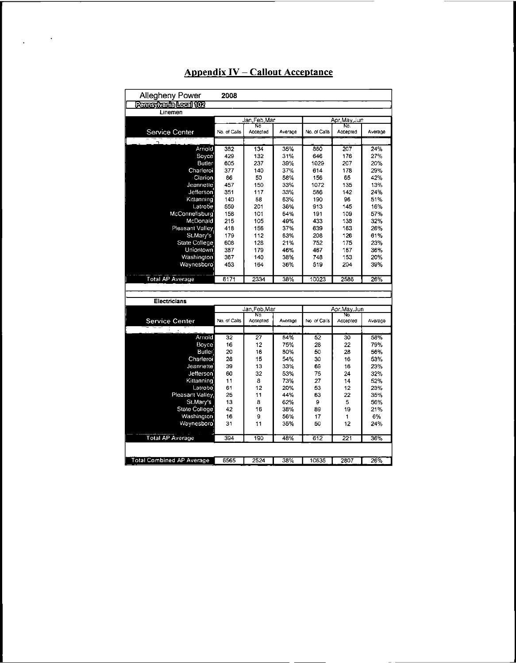| <b>Allegheny Power</b><br>2008   |              |                 |         |              |                 |         |  |
|----------------------------------|--------------|-----------------|---------|--------------|-----------------|---------|--|
| Pennsylvania Local 102           |              |                 |         |              |                 |         |  |
| Linemen                          |              |                 |         |              |                 |         |  |
|                                  | Jan Feb Mar  |                 |         | Apr May Jun  |                 |         |  |
| Service Center                   | No. of Calls | No<br>Accepted  | Average | No. of Calls | No.<br>Accepted | Average |  |
|                                  |              |                 |         |              |                 |         |  |
| Arriold                          | 332          | 134             | 35%     | 860          | 207             | 24%     |  |
| Bovce                            | 429          | 132             | 31%     | 646          | 176             | 27%     |  |
| Butler                           | 605          | 237             | 39%     | 1029         | 207             | 20%     |  |
| Charleroi                        | 377          | 140             | 37%     | 614          | 178             | 29%     |  |
| Clarion                          | 86           | 50              | 58%     | 156          | 65              | 42%     |  |
| Jeannette                        | 457          | 150             | 33%     | 1072         | 135             | 13%     |  |
| Jefferson                        | 351          | 117             | 33%     | 586          | 142             | 24%     |  |
| Kittanning                       | 140          | 88              | 63%     | 190          | 96              | 51%     |  |
| Latrobe                          | 559          | 201             | 36%     | 913          | 145             | 16%     |  |
| McConnellsburg                   | 158          | 101             | 64%     | 191          | 109             | 57%     |  |
| McDonald                         | 215          | 105             | 49%     | 433          | 133             | 32%     |  |
| Pleasant Valley                  | 418          | 156             | 37%     | 639          | 163             | 26%     |  |
| St.Mary's                        | 179          | 112             | 63%     | 208          | 126             | 61%     |  |
| State College                    | 608          | 128             | 21%     | 752          | 175             | 23%     |  |
| Uniontown                        | 387          | 179             | 46%     | 467          | 167             | 36%     |  |
| Washington                       | 367          | 140             | 38%     | 748          | 153             | 20%     |  |
| Waynesboro                       | 453          | 164             | 36%     | 519          | 204             | 39%     |  |
|                                  |              |                 |         |              |                 |         |  |
| Total AP Average                 | 6171         | 2334            | 38%     | 10023        | 2586            | 26%     |  |
|                                  |              |                 |         |              |                 |         |  |
|                                  |              |                 |         |              |                 |         |  |
| Electricians                     |              |                 |         |              |                 |         |  |
|                                  |              | Jan Feb Mar     |         | Apr.May.Jun  |                 |         |  |
| Service Center                   | No. of Calls | No.<br>Accapted | Average | No. of Calls | No.<br>Accepted | Average |  |
|                                  |              |                 |         |              |                 |         |  |
| Arnold                           | 32           | 27              | 84%     | 52           | 30              | 58%     |  |
| Bovce                            | 16           | 12              | 75%     | 28           | 22              | 79%     |  |
| Butler                           | 20           | 16              | 80%     | 50           | 28              | 56%     |  |
| Charleroi                        | 28           | 15              | 54%     | 30           | 16              | 53%     |  |
| Jeannette                        | 39           | 13              | 33%     | 69           | 16              | 23%     |  |
| Jefferson                        | 60           | 32              | 53%     | 75           | 24              | 32%     |  |
| Kittanning                       | 11           | 8               | 73%     | 27           | 14              | 52%     |  |
| Latrobe                          | 61           | 12              | 20%     | 53           | 12              | 23%     |  |
| Pleasant Valley                  | 25           | 11              | 44%     | 63           | 22              | 35%     |  |
| St.Mary's                        | 13           | 8               | 62%     | 9            | 5               | 56%     |  |
| State College                    | 42           | 16              | 38%     | 89           | 19              | 21%     |  |
| Washington                       | 16           | 9               | 56%     | 17           | 1               | 6%      |  |
| Waynesboro                       | 31           | 11              | 35%     | 50           | 12              | 24%     |  |
| <b>Total AP Average</b>          | 394          | 190             | 48%     | 612          | 221             | 36%     |  |
|                                  |              |                 |         |              |                 |         |  |
|                                  |              |                 |         |              |                 |         |  |
| <b>Total Combined AP Average</b> | 6565         | 2524            | 38%     | 10635        | 2807            | 26%     |  |

# **Appendix IV - Callout Acceptance**

 $\ddot{\phantom{1}}$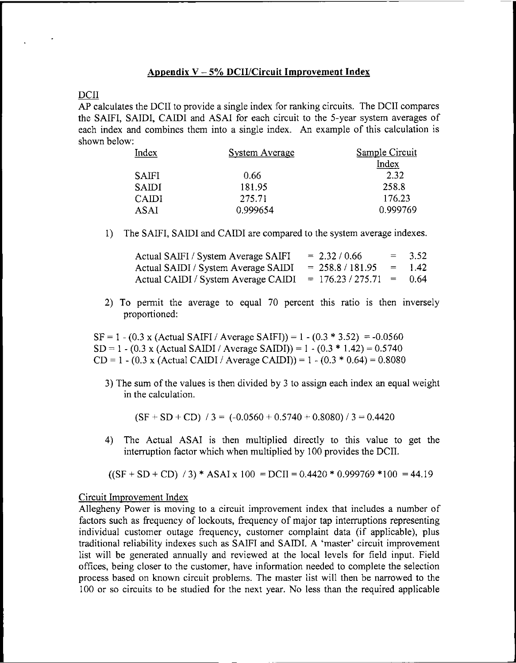#### **Appendix <sup>V</sup> - 5% DCII/Circuit Improvement Index**

#### DCII

AP calculates the DCII to provide a single index for ranking circuits. The DCII compares the SAIFI, SAIDI, CAIDI and ASAI for each circuit to the 5-year system averages of each index and combines them into <sup>a</sup> single index. An example of this calculation is shown below:

| Index        | <b>System Average</b> | Sample Circuit |  |
|--------------|-----------------------|----------------|--|
|              |                       | Index          |  |
| <b>SAIFI</b> | 0.66                  | 2.32           |  |
| <b>SAIDI</b> | 181.95                | 258.8          |  |
| <b>CAIDI</b> | 275.71                | 176.23         |  |
| ASAI         | 0.999654              | 0.999769       |  |

1) The SAIFI, SAIDI and CAIDI are compared to the system average indexes.

| Actual SAIFI / System Average SAIFI | $= 2.32 / 0.66$       | $=$      | 3.52  |
|-------------------------------------|-----------------------|----------|-------|
| Actual SAIDI / System Average SAIDI | $= 258.8 / 181.95$    | $\equiv$ | -1.42 |
| Actual CAIDI / System Average CAIDI | $= 176.23 / 275.71 =$ |          | 0.64  |

2) To permit the average to equal 70 percent this ratio is then inversely proportioned:

 $SF = 1 - (0.3 \times (Actual SAlFI / Average SAlFI)) = 1 - (0.3 * 3.52) = -0.0560$  $SD = 1 - (0.3 \times (Actual SAIDI / Average SAIDI)) = 1 - (0.3 * 1.42) = 0.5740$ CD = 1 - (0.3 x (Actual CAIDI / Average CAIDI)) = 1 - (0.3  $*$  0.64) = 0.8080

3) The sum ofthe values is then divided by <sup>3</sup> to assign each index an equal weight in the calculation.

 $(SF + SD + CD)$  / 3 = (-0.0560 + 0.5740 + 0.8080) / 3 = 0.4420

4) The Actual ASAI is then multiplied directly to this value to get the interruption factor which when multiplied by 100 provides the DCII.

 $((SF + SD + CD) / 3) * ASAI x 100 = DCI = 0.4420 * 0.999769 * 100 = 44.19$ 

#### Circuit Improvement Index

Allegheny Power is moving to a circuit improvement index that includes a number of factors such as frequency of lockouts, frequency of major tap interruptions representing individual customer outage frequency, customer complaint data (if applicable), plus traditional reliability indexes such as SAIFI and SAIDI. A 'master' circuit improvement list will be generated annually and reviewed at the local levels for field input. Field offices, being closer to the customer, have information needed to complete the selection process based on known circuit problems. The master list will then be narrowed to the 100 or so circuits to be studied for the next year. No less than the required applicable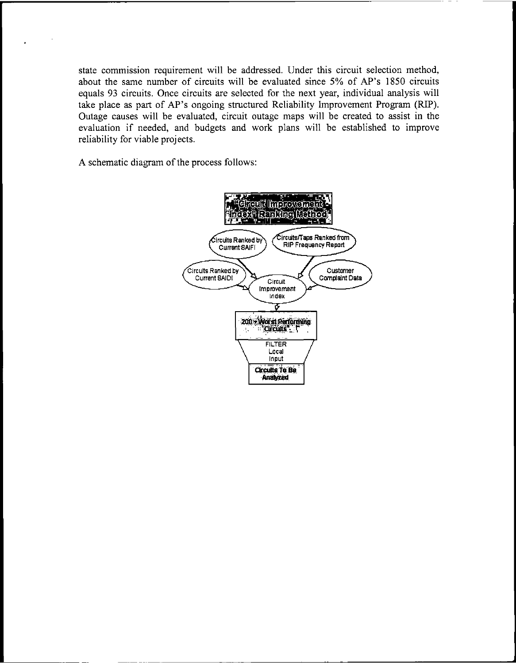state commission requirement will be addressed. Under this circuit selection method, about the same number of circuits will be evaluated since 5% of AP's 1850 circuits equals 93 circuits. Once circuits are selected for the next year, individual analysis will take place as part of AP's ongoing structured Reliability Improvement Program (RIP). Outage causes will be evaluated, circuit outage maps will be created to assist in the evaluation if needed, and budgets and work plans will be established to improve reliability for viable projects.

A schematic diagram of the process follows:

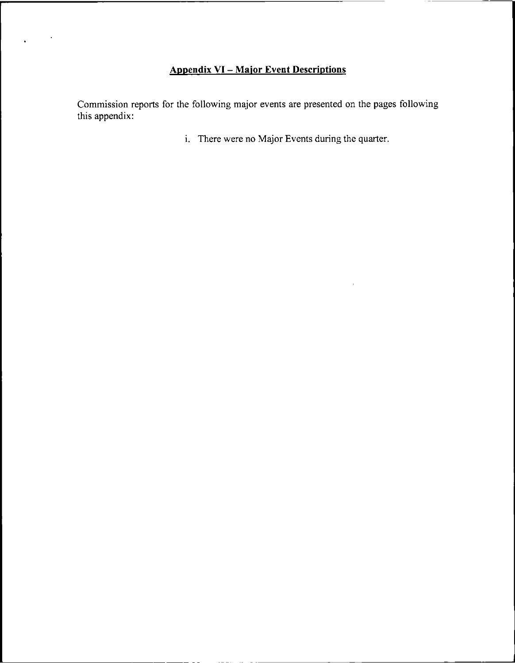# **Appendix VI- Major Event Descriptions**

Commission reports for the following major events are presented on the pages following this appendix:

i. There were no Major Events during the quarter.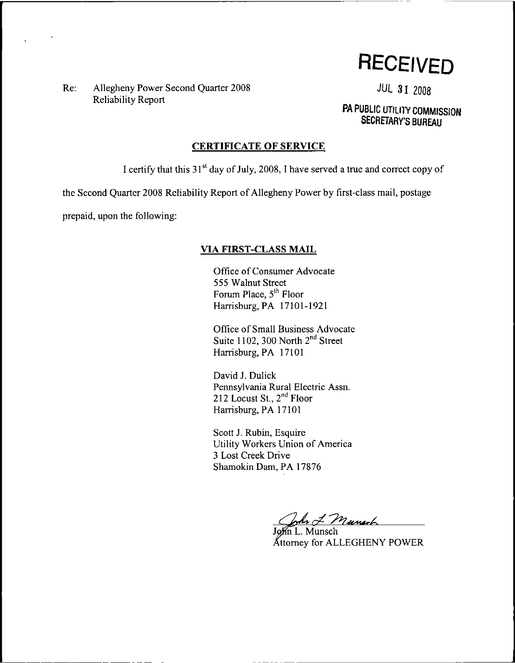**RECEIVED**

Re: Allegheny Power Second Quarter 2008 **JUL 31 2008** Reliability Report

**PA PUBLIC UTILITY COMMISSION SECRETARY'S BUREAU**

#### **CERTIFICATE OF SERVICE**

I certify that this  $31<sup>st</sup>$  day of July, 2008, I have served a true and correct copy of

the Second Quarter 2008 Reliability Report of Allegheny Power by first-class mail, postage

prepaid, upon the following:

### **VIA FIRST-CLASS MAIL**

Office of Consumer Advocate 555 Walnut Street Forum Place, 5<sup>th</sup> Floor Harrisburg, PA 17101-1921

Office of Small Business Advocate Suite 1102, 300 North  $2<sup>nd</sup>$  Street Harrisburg, PA 17101

David J. Dulick Pennsylvania Rural Electric Assn. 212 Locust St., 2<sup>nd</sup> Floor Harrisburg, PA 17101

Scott J. Rubin, Esquire Utility Workers Union of America 3 Lost Creek Drive Shamokin Dam, PA 17876

John J. Murrach

 $Mn$  L. Munsch Attorney for ALLEGHENY POWER